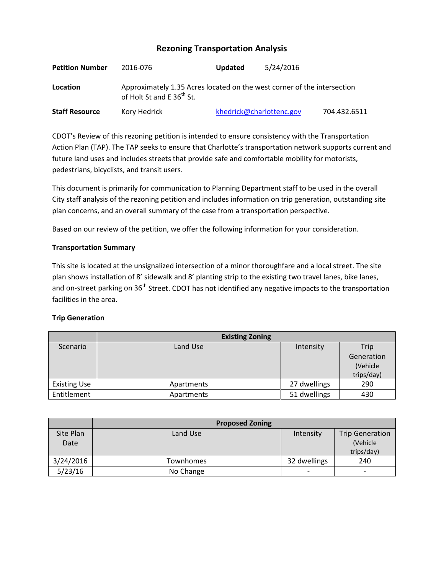# **Rezoning Transportation Analysis**

| <b>Petition Number</b> | 2016-076                                                                                                         | <b>Updated</b>           | 5/24/2016 |              |
|------------------------|------------------------------------------------------------------------------------------------------------------|--------------------------|-----------|--------------|
| Location               | Approximately 1.35 Acres located on the west corner of the intersection<br>of Holt St and E 36 <sup>th</sup> St. |                          |           |              |
| <b>Staff Resource</b>  | Kory Hedrick                                                                                                     | khedrick@charlottenc.gov |           | 704.432.6511 |

CDOT's Review of this rezoning petition is intended to ensure consistency with the Transportation Action Plan (TAP). The TAP seeks to ensure that Charlotte's transportation network supports current and future land uses and includes streets that provide safe and comfortable mobility for motorists, pedestrians, bicyclists, and transit users.

This document is primarily for communication to Planning Department staff to be used in the overall City staff analysis of the rezoning petition and includes information on trip generation, outstanding site plan concerns, and an overall summary of the case from a transportation perspective.

Based on our review of the petition, we offer the following information for your consideration.

## **Transportation Summary**

This site is located at the unsignalized intersection of a minor thoroughfare and a local street. The site plan shows installation of 8' sidewalk and 8' planting strip to the existing two travel lanes, bike lanes, and on-street parking on 36<sup>th</sup> Street. CDOT has not identified any negative impacts to the transportation facilities in the area.

#### **Trip Generation**

|                     | <b>Existing Zoning</b> |              |            |
|---------------------|------------------------|--------------|------------|
| Scenario            | Land Use               | Intensity    | Trip       |
|                     |                        |              | Generation |
|                     |                        |              | (Vehicle   |
|                     |                        |              | trips/day) |
| <b>Existing Use</b> | Apartments             | 27 dwellings | 290        |
| Entitlement         | Apartments             | 51 dwellings | 430        |

|           | <b>Proposed Zoning</b> |                          |                          |
|-----------|------------------------|--------------------------|--------------------------|
| Site Plan | Land Use               | Intensity                | <b>Trip Generation</b>   |
| Date      |                        |                          | (Vehicle                 |
|           |                        |                          | trips/day)               |
| 3/24/2016 | Townhomes              | 32 dwellings             | 240                      |
| 5/23/16   | No Change              | $\overline{\phantom{0}}$ | $\overline{\phantom{0}}$ |